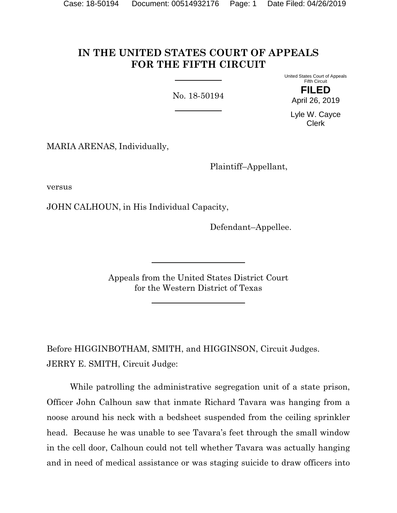# **IN THE UNITED STATES COURT OF APPEALS FOR THE FIFTH CIRCUIT**

No. 18-50194

United States Court of Appeals Fifth Circuit **FILED**

April 26, 2019

Lyle W. Cayce Clerk

MARIA ARENAS, Individually,

Plaintiff–Appellant,

versus

JOHN CALHOUN, in His Individual Capacity,

Defendant–Appellee.

Appeals from the United States District Court for the Western District of Texas

Before HIGGINBOTHAM, SMITH, and HIGGINSON, Circuit Judges. JERRY E. SMITH, Circuit Judge:

While patrolling the administrative segregation unit of a state prison, Officer John Calhoun saw that inmate Richard Tavara was hanging from a noose around his neck with a bedsheet suspended from the ceiling sprinkler head. Because he was unable to see Tavara's feet through the small window in the cell door, Calhoun could not tell whether Tavara was actually hanging and in need of medical assistance or was staging suicide to draw officers into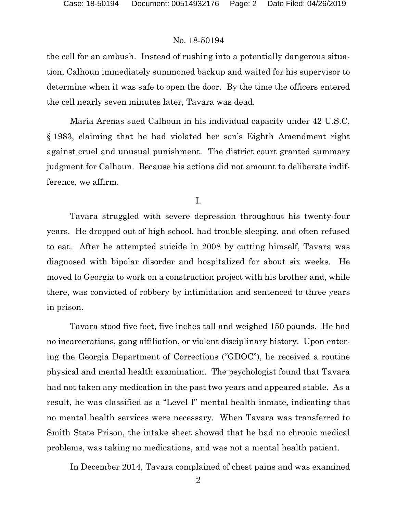the cell for an ambush. Instead of rushing into a potentially dangerous situation, Calhoun immediately summoned backup and waited for his supervisor to determine when it was safe to open the door. By the time the officers entered the cell nearly seven minutes later, Tavara was dead.

Maria Arenas sued Calhoun in his individual capacity under 42 U.S.C. § 1983, claiming that he had violated her son's Eighth Amendment right against cruel and unusual punishment. The district court granted summary judgment for Calhoun. Because his actions did not amount to deliberate indifference, we affirm.

I.

Tavara struggled with severe depression throughout his twenty-four years. He dropped out of high school, had trouble sleeping, and often refused to eat. After he attempted suicide in 2008 by cutting himself, Tavara was diagnosed with bipolar disorder and hospitalized for about six weeks. He moved to Georgia to work on a construction project with his brother and, while there, was convicted of robbery by intimidation and sentenced to three years in prison.

Tavara stood five feet, five inches tall and weighed 150 pounds. He had no incarcerations, gang affiliation, or violent disciplinary history. Upon entering the Georgia Department of Corrections ("GDOC"), he received a routine physical and mental health examination. The psychologist found that Tavara had not taken any medication in the past two years and appeared stable. As a result, he was classified as a "Level I" mental health inmate, indicating that no mental health services were necessary. When Tavara was transferred to Smith State Prison, the intake sheet showed that he had no chronic medical problems, was taking no medications, and was not a mental health patient.

In December 2014, Tavara complained of chest pains and was examined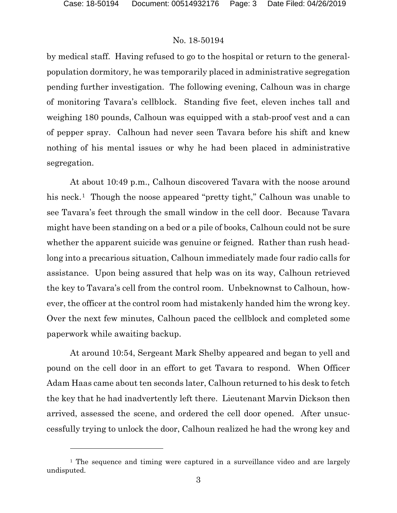l

### No. 18-50194

by medical staff. Having refused to go to the hospital or return to the generalpopulation dormitory, he was temporarily placed in administrative segregation pending further investigation. The following evening, Calhoun was in charge of monitoring Tavara's cellblock. Standing five feet, eleven inches tall and weighing 180 pounds, Calhoun was equipped with a stab-proof vest and a can of pepper spray. Calhoun had never seen Tavara before his shift and knew nothing of his mental issues or why he had been placed in administrative segregation.

At about 10:49 p.m., Calhoun discovered Tavara with the noose around his neck.<sup>[1](#page-2-0)</sup> Though the noose appeared "pretty tight," Calhoun was unable to see Tavara's feet through the small window in the cell door. Because Tavara might have been standing on a bed or a pile of books, Calhoun could not be sure whether the apparent suicide was genuine or feigned. Rather than rush headlong into a precarious situation, Calhoun immediately made four radio calls for assistance. Upon being assured that help was on its way, Calhoun retrieved the key to Tavara's cell from the control room. Unbeknownst to Calhoun, however, the officer at the control room had mistakenly handed him the wrong key. Over the next few minutes, Calhoun paced the cellblock and completed some paperwork while awaiting backup.

At around 10:54, Sergeant Mark Shelby appeared and began to yell and pound on the cell door in an effort to get Tavara to respond. When Officer Adam Haas came about ten seconds later, Calhoun returned to his desk to fetch the key that he had inadvertently left there. Lieutenant Marvin Dickson then arrived, assessed the scene, and ordered the cell door opened. After unsuccessfully trying to unlock the door, Calhoun realized he had the wrong key and

<span id="page-2-0"></span><sup>&</sup>lt;sup>1</sup> The sequence and timing were captured in a surveillance video and are largely undisputed.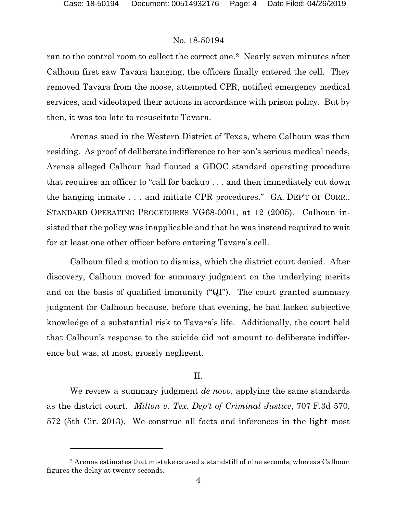l

### No. 18-50194

ran to the control room to collect the correct one.[2](#page-3-0) Nearly seven minutes after Calhoun first saw Tavara hanging, the officers finally entered the cell. They removed Tavara from the noose, attempted CPR, notified emergency medical services, and videotaped their actions in accordance with prison policy. But by then, it was too late to resuscitate Tavara.

Arenas sued in the Western District of Texas, where Calhoun was then residing. As proof of deliberate indifference to her son's serious medical needs, Arenas alleged Calhoun had flouted a GDOC standard operating procedure that requires an officer to "call for backup . . . and then immediately cut down the hanging inmate . . . and initiate CPR procedures." GA. DEP'T OF CORR., STANDARD OPERATING PROCEDURES VG68-0001, at 12 (2005). Calhoun insisted that the policy was inapplicable and that he was instead required to wait for at least one other officer before entering Tavara's cell.

Calhoun filed a motion to dismiss, which the district court denied. After discovery, Calhoun moved for summary judgment on the underlying merits and on the basis of qualified immunity ("QI"). The court granted summary judgment for Calhoun because, before that evening, he had lacked subjective knowledge of a substantial risk to Tavara's life. Additionally, the court held that Calhoun's response to the suicide did not amount to deliberate indifference but was, at most, grossly negligent.

#### II.

We review a summary judgment *de novo*, applying the same standards as the district court. *Milton v. Tex. Dep't of Criminal Justice*, 707 F.3d 570, 572 (5th Cir. 2013). We construe all facts and inferences in the light most

<span id="page-3-0"></span><sup>2</sup> Arenas estimates that mistake caused a standstill of nine seconds, whereas Calhoun figures the delay at twenty seconds.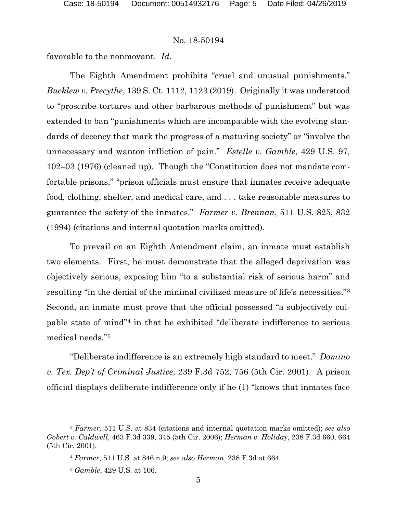favorable to the nonmovant. *Id.*

The Eighth Amendment prohibits "cruel and unusual punishments." *Bucklew v. Precythe*, 139 S. Ct. 1112, 1123 (2019). Originally it was understood to "proscribe tortures and other barbarous methods of punishment" but was extended to ban "punishments which are incompatible with the evolving standards of decency that mark the progress of a maturing society" or "involve the unnecessary and wanton infliction of pain." *Estelle v. Gamble*, 429 U.S. 97, 102–03 (1976) (cleaned up). Though the "Constitution does not mandate comfortable prisons," "prison officials must ensure that inmates receive adequate food, clothing, shelter, and medical care, and . . . take reasonable measures to guarantee the safety of the inmates." *Farmer v. Brennan*, 511 U.S. 825, 832 (1994) (citations and internal quotation marks omitted).

To prevail on an Eighth Amendment claim, an inmate must establish two elements. First, he must demonstrate that the alleged deprivation was objectively serious, exposing him "to a substantial risk of serious harm" and resulting "in the denial of the minimal civilized measure of life's necessities."[3](#page-4-0) Second, an inmate must prove that the official possessed "a subjectively culpable state of mind"[4](#page-4-1) in that he exhibited "deliberate indifference to serious medical needs."[5](#page-4-2) 

"Deliberate indifference is an extremely high standard to meet." *Domino v. Tex. Dep't of Criminal Justice*, 239 F.3d 752, 756 (5th Cir. 2001). A prison official displays deliberate indifference only if he (1) "knows that inmates face

l

<span id="page-4-2"></span><span id="page-4-1"></span><span id="page-4-0"></span><sup>3</sup> *Farmer,* 511 U.S. at 834 (citations and internal quotation marks omitted); *see also Gobert v. Caldwell*, 463 F.3d 339, 345 (5th Cir. 2006); *Herman v. Holiday*, 238 F.3d 660, 664 (5th Cir. 2001).

<sup>4</sup> *Farmer*, 511 U.S. at 846 n.9; *see also Herman*, 238 F.3d at 664.

<sup>5</sup> *Gamble*, 429 U.S. at 106.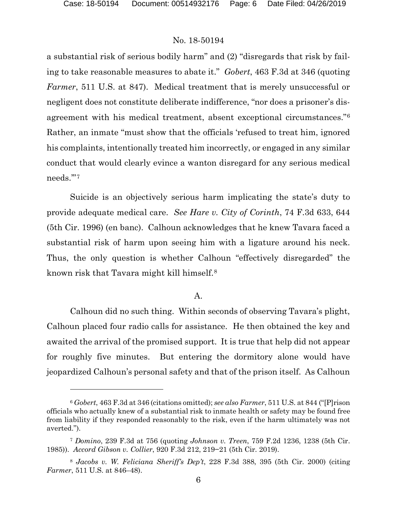# No. 18-50194

a substantial risk of serious bodily harm" and (2) "disregards that risk by failing to take reasonable measures to abate it." *Gobert*, 463 F.3d at 346 (quoting *Farmer*, 511 U.S. at 847). Medical treatment that is merely unsuccessful or negligent does not constitute deliberate indifference, "nor does a prisoner's disagreement with his medical treatment, absent exceptional circumstances."[6](#page-5-0) Rather, an inmate "must show that the officials 'refused to treat him, ignored his complaints, intentionally treated him incorrectly, or engaged in any similar conduct that would clearly evince a wanton disregard for any serious medical needs.'"[7](#page-5-1)

Suicide is an objectively serious harm implicating the state's duty to provide adequate medical care. *See Hare v. City of Corinth*, 74 F.3d 633, 644 (5th Cir. 1996) (en banc). Calhoun acknowledges that he knew Tavara faced a substantial risk of harm upon seeing him with a ligature around his neck. Thus, the only question is whether Calhoun "effectively disregarded" the known risk that Tavara might kill himself.[8](#page-5-2)

# A.

Calhoun did no such thing. Within seconds of observing Tavara's plight, Calhoun placed four radio calls for assistance. He then obtained the key and awaited the arrival of the promised support. It is true that help did not appear for roughly five minutes. But entering the dormitory alone would have jeopardized Calhoun's personal safety and that of the prison itself. As Calhoun

<span id="page-5-0"></span><sup>6</sup> *Gobert*, 463 F.3d at 346 (citations omitted); *see also Farmer*, 511 U.S. at 844 ("[P]rison officials who actually knew of a substantial risk to inmate health or safety may be found free from liability if they responded reasonably to the risk, even if the harm ultimately was not averted.").

<span id="page-5-1"></span><sup>7</sup> *Domino*, 239 F.3d at 756 (quoting *Johnson v. Treen*, 759 F.2d 1236, 1238 (5th Cir. 1985)). *Accord Gibson v. Collier*, 920 F.3d 212, 219−21 (5th Cir. 2019).

<span id="page-5-2"></span><sup>8</sup> *Jacobs v. W. Feliciana Sheriff's Dep't*, 228 F.3d 388, 395 (5th Cir. 2000) (citing *Farmer*, 511 U.S. at 846–48).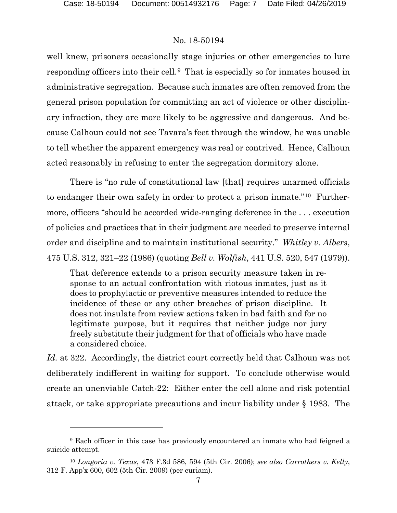### No. 18-50194

well knew, prisoners occasionally stage injuries or other emergencies to lure responding officers into their cell.[9](#page-6-0) That is especially so for inmates housed in administrative segregation. Because such inmates are often removed from the general prison population for committing an act of violence or other disciplinary infraction, they are more likely to be aggressive and dangerous. And because Calhoun could not see Tavara's feet through the window, he was unable to tell whether the apparent emergency was real or contrived. Hence, Calhoun acted reasonably in refusing to enter the segregation dormitory alone.

There is "no rule of constitutional law [that] requires unarmed officials to endanger their own safety in order to protect a prison inmate."[10](#page-6-1) Furthermore, officers "should be accorded wide-ranging deference in the . . . execution of policies and practices that in their judgment are needed to preserve internal order and discipline and to maintain institutional security." *Whitley v. Albers*, 475 U.S. 312, 321–22 (1986) (quoting *Bell v. Wolfish*, 441 U.S. 520, 547 (1979)).

That deference extends to a prison security measure taken in response to an actual confrontation with riotous inmates, just as it does to prophylactic or preventive measures intended to reduce the incidence of these or any other breaches of prison discipline. It does not insulate from review actions taken in bad faith and for no legitimate purpose, but it requires that neither judge nor jury freely substitute their judgment for that of officials who have made a considered choice.

*Id.* at 322.Accordingly, the district court correctly held that Calhoun was not deliberately indifferent in waiting for support. To conclude otherwise would create an unenviable Catch-22: Either enter the cell alone and risk potential attack, or take appropriate precautions and incur liability under § 1983. The

<span id="page-6-0"></span><sup>9</sup> Each officer in this case has previously encountered an inmate who had feigned a suicide attempt.

<span id="page-6-1"></span><sup>10</sup> *Longoria v. Texas*, 473 F.3d 586, 594 (5th Cir. 2006); *see also Carrothers v. Kelly*, 312 F. App'x 600, 602 (5th Cir. 2009) (per curiam).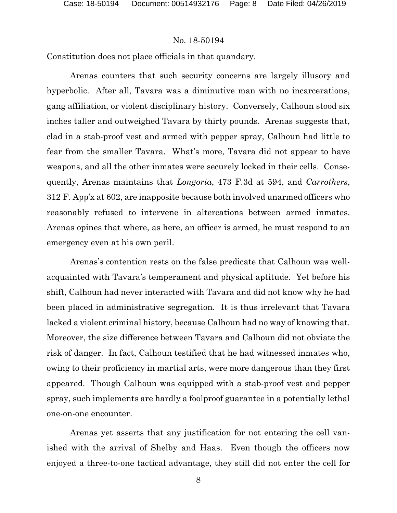Constitution does not place officials in that quandary.

Arenas counters that such security concerns are largely illusory and hyperbolic. After all, Tavara was a diminutive man with no incarcerations, gang affiliation, or violent disciplinary history. Conversely, Calhoun stood six inches taller and outweighed Tavara by thirty pounds. Arenas suggests that, clad in a stab-proof vest and armed with pepper spray, Calhoun had little to fear from the smaller Tavara. What's more, Tavara did not appear to have weapons, and all the other inmates were securely locked in their cells. Consequently, Arenas maintains that *Longoria*, 473 F.3d at 594, and *Carrothers*, 312 F. App'x at 602, are inapposite because both involved unarmed officers who reasonably refused to intervene in altercations between armed inmates. Arenas opines that where, as here, an officer is armed, he must respond to an emergency even at his own peril.

Arenas's contention rests on the false predicate that Calhoun was wellacquainted with Tavara's temperament and physical aptitude. Yet before his shift, Calhoun had never interacted with Tavara and did not know why he had been placed in administrative segregation. It is thus irrelevant that Tavara lacked a violent criminal history, because Calhoun had no way of knowing that. Moreover, the size difference between Tavara and Calhoun did not obviate the risk of danger. In fact, Calhoun testified that he had witnessed inmates who, owing to their proficiency in martial arts, were more dangerous than they first appeared. Though Calhoun was equipped with a stab-proof vest and pepper spray, such implements are hardly a foolproof guarantee in a potentially lethal one-on-one encounter.

Arenas yet asserts that any justification for not entering the cell vanished with the arrival of Shelby and Haas. Even though the officers now enjoyed a three-to-one tactical advantage, they still did not enter the cell for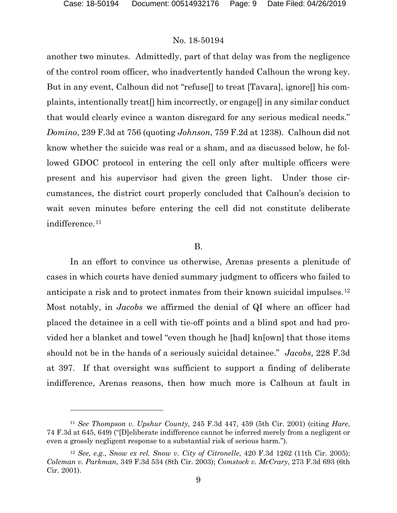#### No. 18-50194

another two minutes. Admittedly, part of that delay was from the negligence of the control room officer, who inadvertently handed Calhoun the wrong key. But in any event, Calhoun did not "refuse[] to treat [Tavara], ignore[] his complaints, intentionally treat[] him incorrectly, or engage[] in any similar conduct that would clearly evince a wanton disregard for any serious medical needs." *Domino*, 239 F.3d at 756 (quoting *Johnson*, 759 F.2d at 1238). Calhoun did not know whether the suicide was real or a sham, and as discussed below, he followed GDOC protocol in entering the cell only after multiple officers were present and his supervisor had given the green light. Under those circumstances, the district court properly concluded that Calhoun's decision to wait seven minutes before entering the cell did not constitute deliberate indifference.<sup>[11](#page-8-0)</sup>

#### B.

In an effort to convince us otherwise, Arenas presents a plenitude of cases in which courts have denied summary judgment to officers who failed to anticipate a risk and to protect inmates from their known suicidal impulses.[12](#page-8-1) Most notably, in *Jacobs* we affirmed the denial of QI where an officer had placed the detainee in a cell with tie-off points and a blind spot and had provided her a blanket and towel "even though he [had] kn[own] that those items should not be in the hands of a seriously suicidal detainee." *Jacobs*, 228 F.3d at 397. If that oversight was sufficient to support a finding of deliberate indifference, Arenas reasons, then how much more is Calhoun at fault in

<span id="page-8-0"></span><sup>11</sup> *See Thompson v. Upshur County*, 245 F.3d 447, 459 (5th Cir. 2001) (citing *Hare*, 74 F.3d at 645, 649) ("[D]eliberate indifference cannot be inferred merely from a negligent or even a grossly negligent response to a substantial risk of serious harm.").

<span id="page-8-1"></span><sup>12</sup> *See, e.g.*, *Snow ex rel. Snow v. City of Citronelle*, 420 F.3d 1262 (11th Cir. 2005); *Coleman v. Parkman*, 349 F.3d 534 (8th Cir. 2003); *Comstock v. McCrary*, 273 F.3d 693 (6th Cir. 2001).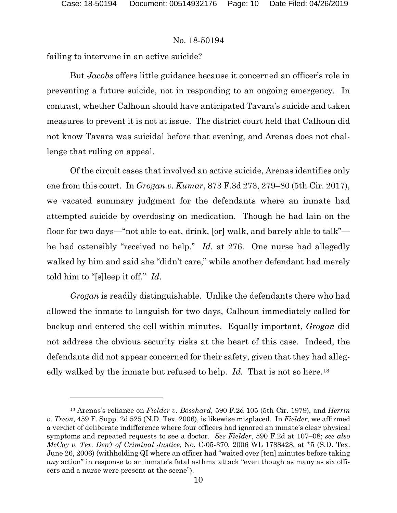### No. 18-50194

failing to intervene in an active suicide?

But *Jacobs* offers little guidance because it concerned an officer's role in preventing a future suicide, not in responding to an ongoing emergency. In contrast, whether Calhoun should have anticipated Tavara's suicide and taken measures to prevent it is not at issue. The district court held that Calhoun did not know Tavara was suicidal before that evening, and Arenas does not challenge that ruling on appeal.

Of the circuit cases that involved an active suicide, Arenas identifies only one from this court. In *Grogan v. Kumar*, 873 F.3d 273, 279–80 (5th Cir. 2017), we vacated summary judgment for the defendants where an inmate had attempted suicide by overdosing on medication. Though he had lain on the floor for two days—"not able to eat, drink, [or] walk, and barely able to talk" he had ostensibly "received no help." *Id.* at 276. One nurse had allegedly walked by him and said she "didn't care," while another defendant had merely told him to "[s]leep it off." *Id*.

*Grogan* is readily distinguishable. Unlike the defendants there who had allowed the inmate to languish for two days, Calhoun immediately called for backup and entered the cell within minutes. Equally important, *Grogan* did not address the obvious security risks at the heart of this case. Indeed, the defendants did not appear concerned for their safety, given that they had allegedly walked by the inmate but refused to help. *Id*. That is not so here.<sup>[13](#page-9-0)</sup>

<span id="page-9-0"></span><sup>13</sup> Arenas's reliance on *Fielder v. Bosshard*, 590 F.2d 105 (5th Cir. 1979), and *Herrin v. Treon*, 459 F. Supp. 2d 525 (N.D. Tex. 2006), is likewise misplaced. In *Fielder*, we affirmed a verdict of deliberate indifference where four officers had ignored an inmate's clear physical symptoms and repeated requests to see a doctor. *See Fielder*, 590 F.2d at 107–08; *see also McCoy v. Tex. Dep't of Criminal Justice*, No. C-05-370, 2006 WL 1788428, at \*5 (S.D. Tex. June 26, 2006) (withholding QI where an officer had "waited over [ten] minutes before taking *any* action" in response to an inmate's fatal asthma attack "even though as many as six officers and a nurse were present at the scene").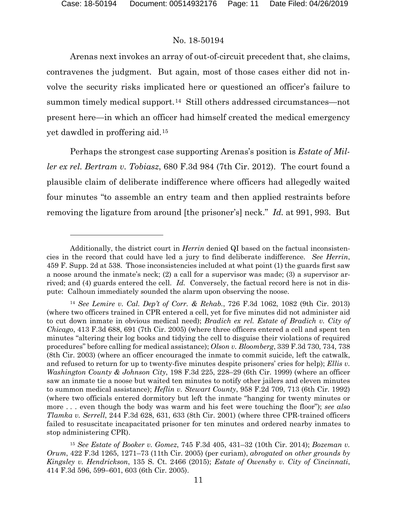### No. 18-50194

Arenas next invokes an array of out-of-circuit precedent that, she claims, contravenes the judgment. But again, most of those cases either did not involve the security risks implicated here or questioned an officer's failure to summon timely medical support.<sup>[14](#page-10-0)</sup> Still others addressed circumstances—not present here—in which an officer had himself created the medical emergency yet dawdled in proffering aid.[15](#page-10-1)

Perhaps the strongest case supporting Arenas's position is *Estate of Miller ex rel. Bertram v. Tobiasz*, 680 F.3d 984 (7th Cir. 2012). The court found a plausible claim of deliberate indifference where officers had allegedly waited four minutes "to assemble an entry team and then applied restraints before removing the ligature from around [the prisoner's] neck." *Id.* at 991, 993. But

Additionally, the district court in *Herrin* denied QI based on the factual inconsistencies in the record that could have led a jury to find deliberate indifference. *See Herrin*, 459 F. Supp. 2d at 538. Those inconsistencies included at what point (1) the guards first saw a noose around the inmate's neck; (2) a call for a supervisor was made; (3) a supervisor arrived; and (4) guards entered the cell. *Id.* Conversely, the factual record here is not in dispute: Calhoun immediately sounded the alarm upon observing the noose.

<span id="page-10-0"></span><sup>14</sup> *See Lemire v. Cal. Dep't of Corr. & Rehab.*, 726 F.3d 1062, 1082 (9th Cir. 2013) (where two officers trained in CPR entered a cell, yet for five minutes did not administer aid to cut down inmate in obvious medical need); *Bradich ex rel. Estate of Bradich v. City of Chicago*, 413 F.3d 688, 691 (7th Cir. 2005) (where three officers entered a cell and spent ten minutes "altering their log books and tidying the cell to disguise their violations of required procedures" before calling for medical assistance); *Olson v. Bloomberg*, 339 F.3d 730, 734, 738 (8th Cir. 2003) (where an officer encouraged the inmate to commit suicide, left the catwalk, and refused to return for up to twenty-five minutes despite prisoners' cries for help); *Ellis v. Washington County & Johnson City*, 198 F.3d 225, 228–29 (6th Cir. 1999) (where an officer saw an inmate tie a noose but waited ten minutes to notify other jailers and eleven minutes to summon medical assistance); *Heflin v. Stewart County*, 958 F.2d 709, 713 (6th Cir. 1992) (where two officials entered dormitory but left the inmate "hanging for twenty minutes or more . . . even though the body was warm and his feet were touching the floor"); *see also Tlamka v. Serrell*, 244 F.3d 628, 631, 633 (8th Cir. 2001) (where three CPR-trained officers failed to resuscitate incapacitated prisoner for ten minutes and ordered nearby inmates to stop administering CPR).

<span id="page-10-1"></span><sup>15</sup> *See Estate of Booker v. Gomez*, 745 F.3d 405, 431–32 (10th Cir. 2014); *Bozeman v. Orum*, 422 F.3d 1265, 1271–73 (11th Cir. 2005) (per curiam), *abrogated on other grounds by Kingsley v. Hendrickson*, 135 S. Ct. 2466 (2015); *Estate of Owensby v. City of Cincinnati*, 414 F.3d 596, 599–601, 603 (6th Cir. 2005).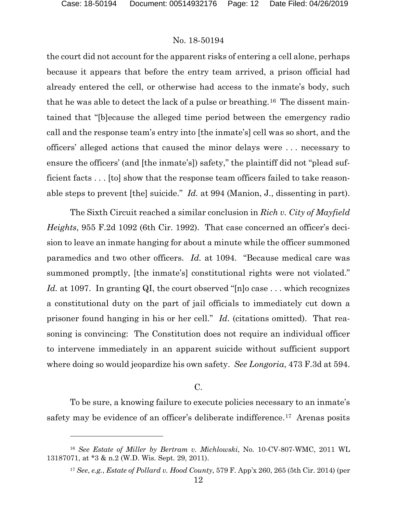#### No. 18-50194

the court did not account for the apparent risks of entering a cell alone, perhaps because it appears that before the entry team arrived, a prison official had already entered the cell, or otherwise had access to the inmate's body, such that he was able to detect the lack of a pulse or breathing.[16](#page-11-0) The dissent maintained that "[b]ecause the alleged time period between the emergency radio call and the response team's entry into [the inmate's] cell was so short, and the officers' alleged actions that caused the minor delays were . . . necessary to ensure the officers' (and [the inmate's]) safety," the plaintiff did not "plead sufficient facts . . . [to] show that the response team officers failed to take reasonable steps to prevent [the] suicide." *Id.* at 994 (Manion, J., dissenting in part).

The Sixth Circuit reached a similar conclusion in *Rich v. City of Mayfield Heights*, 955 F.2d 1092 (6th Cir. 1992). That case concerned an officer's decision to leave an inmate hanging for about a minute while the officer summoned paramedics and two other officers. *Id.* at 1094. "Because medical care was summoned promptly, [the inmate's] constitutional rights were not violated." Id. at 1097. In granting QI, the court observed "[n]o case . . . which recognizes a constitutional duty on the part of jail officials to immediately cut down a prisoner found hanging in his or her cell." *Id*. (citations omitted). That reasoning is convincing: The Constitution does not require an individual officer to intervene immediately in an apparent suicide without sufficient support where doing so would jeopardize his own safety. *See Longoria*, 473 F.3d at 594.

#### C.

To be sure, a knowing failure to execute policies necessary to an inmate's safety may be evidence of an officer's deliberate indifference.<sup>[17](#page-11-1)</sup> Arenas posits

<span id="page-11-1"></span><span id="page-11-0"></span><sup>16</sup> *See Estate of Miller by Bertram v. Michlowski*, No. 10-CV-807-WMC, 2011 WL 13187071, at \*3 & n.2 (W.D. Wis. Sept. 29, 2011).

<sup>17</sup> *See*, *e.g.*, *Estate of Pollard v. Hood County*, 579 F. App'x 260, 265 (5th Cir. 2014) (per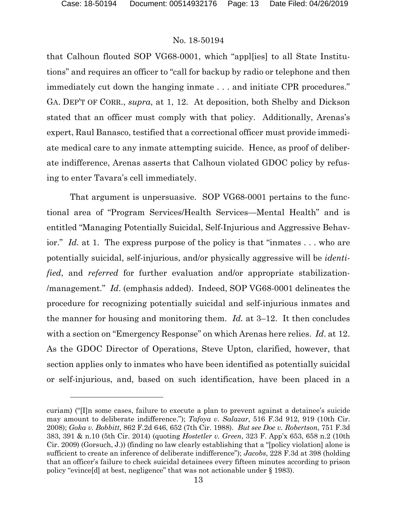#### No. 18-50194

that Calhoun flouted SOP VG68-0001, which "appl[ies] to all State Institutions" and requires an officer to "call for backup by radio or telephone and then immediately cut down the hanging inmate . . . and initiate CPR procedures." GA. DEP'T OF CORR., *supra*, at 1, 12. At deposition, both Shelby and Dickson stated that an officer must comply with that policy. Additionally, Arenas's expert, Raul Banasco, testified that a correctional officer must provide immediate medical care to any inmate attempting suicide. Hence, as proof of deliberate indifference, Arenas asserts that Calhoun violated GDOC policy by refusing to enter Tavara's cell immediately.

That argument is unpersuasive. SOP VG68-0001 pertains to the functional area of "Program Services/Health Services—Mental Health" and is entitled "Managing Potentially Suicidal, Self-Injurious and Aggressive Behavior." *Id.* at 1. The express purpose of the policy is that "inmates ... who are potentially suicidal, self-injurious, and/or physically aggressive will be *identified*, and *referred* for further evaluation and/or appropriate stabilization- /management." *Id*. (emphasis added). Indeed, SOP VG68-0001 delineates the procedure for recognizing potentially suicidal and self-injurious inmates and the manner for housing and monitoring them. *Id.* at 3–12. It then concludes with a section on "Emergency Response" on which Arenas here relies. *Id*. at 12. As the GDOC Director of Operations, Steve Upton, clarified, however, that section applies only to inmates who have been identified as potentially suicidal or self-injurious, and, based on such identification, have been placed in a

curiam) ("[I]n some cases, failure to execute a plan to prevent against a detainee's suicide may amount to deliberate indifference."); *Tafoya v. Salazar*, 516 F.3d 912, 919 (10th Cir. 2008); *Goka v. Bobbitt,* 862 F.2d 646, 652 (7th Cir. 1988). *But see Doe v. Robertson*, 751 F.3d 383, 391 & n.10 (5th Cir. 2014) (quoting *Hostetler v. Green*, 323 F. App'x 653, 658 n.2 (10th Cir. 2009) (Gorsuch, J.)) (finding no law clearly establishing that a "[policy violation] alone is sufficient to create an inference of deliberate indifference"); *Jacobs*, 228 F.3d at 398 (holding that an officer's failure to check suicidal detainees every fifteen minutes according to prison policy "evince[d] at best, negligence" that was not actionable under § 1983).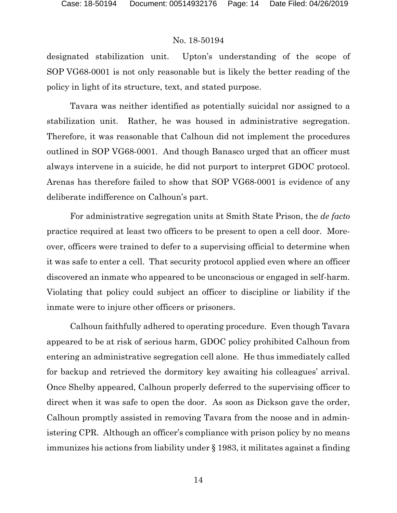designated stabilization unit. Upton's understanding of the scope of SOP VG68-0001 is not only reasonable but is likely the better reading of the policy in light of its structure, text, and stated purpose.

Tavara was neither identified as potentially suicidal nor assigned to a stabilization unit. Rather, he was housed in administrative segregation. Therefore, it was reasonable that Calhoun did not implement the procedures outlined in SOP VG68-0001. And though Banasco urged that an officer must always intervene in a suicide, he did not purport to interpret GDOC protocol. Arenas has therefore failed to show that SOP VG68-0001 is evidence of any deliberate indifference on Calhoun's part.

For administrative segregation units at Smith State Prison, the *de facto* practice required at least two officers to be present to open a cell door. Moreover, officers were trained to defer to a supervising official to determine when it was safe to enter a cell. That security protocol applied even where an officer discovered an inmate who appeared to be unconscious or engaged in self-harm. Violating that policy could subject an officer to discipline or liability if the inmate were to injure other officers or prisoners.

Calhoun faithfully adhered to operating procedure. Even though Tavara appeared to be at risk of serious harm, GDOC policy prohibited Calhoun from entering an administrative segregation cell alone. He thus immediately called for backup and retrieved the dormitory key awaiting his colleagues' arrival. Once Shelby appeared, Calhoun properly deferred to the supervising officer to direct when it was safe to open the door. As soon as Dickson gave the order, Calhoun promptly assisted in removing Tavara from the noose and in administering CPR. Although an officer's compliance with prison policy by no means immunizes his actions from liability under § 1983, it militates against a finding